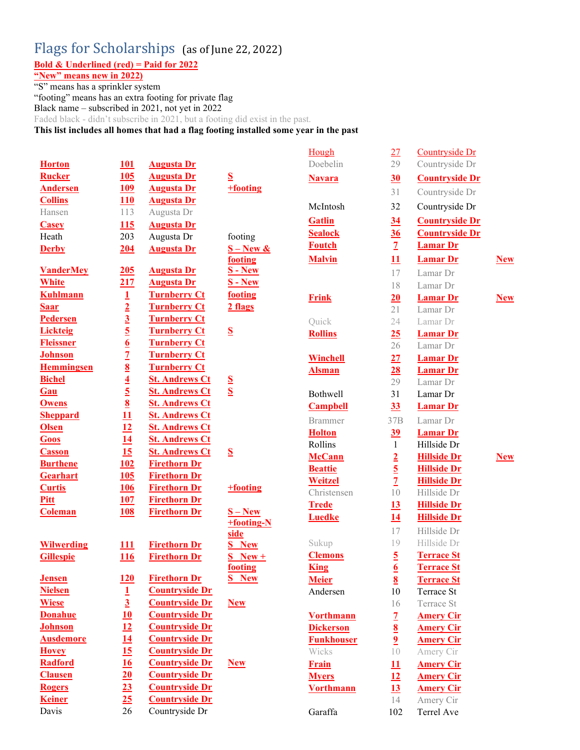## Flags for Scholarships (as of June 22, 2022)

Bold & Underlined (red) = Paid for 2022

"New" means new in 2022)

"S" means has a sprinkler system

"footing" means has an extra footing for private flag Black name – subscribed in 2021, not yet in 2022

Faded black - didn't subscribe in 2021, but a footing did exist in the past.

This list includes all homes that had a flag footing installed some year in the past

|                   |                                                                                                                     |                       |                         | Hough             | 27                      | Countryside Dr        |            |
|-------------------|---------------------------------------------------------------------------------------------------------------------|-----------------------|-------------------------|-------------------|-------------------------|-----------------------|------------|
| <b>Horton</b>     | 101                                                                                                                 | <b>Augusta Dr</b>     |                         | Doebelin          | 29                      | Countryside Dr        |            |
| <b>Rucker</b>     | 105                                                                                                                 | <b>Augusta Dr</b>     | S                       | <b>Navara</b>     | 30                      | <b>Countryside Dr</b> |            |
| <b>Andersen</b>   | <u>109</u>                                                                                                          | <b>Augusta Dr</b>     | +footing                |                   | 31                      | Countryside Dr        |            |
| <b>Collins</b>    | 110                                                                                                                 | <b>Augusta Dr</b>     |                         |                   |                         |                       |            |
| Hansen            | 113                                                                                                                 | Augusta Dr            |                         | McIntosh          | 32                      | Countryside Dr        |            |
| <b>Casey</b>      | 115                                                                                                                 | <b>Augusta Dr</b>     |                         | <b>Gatlin</b>     | 34                      | <b>Countryside Dr</b> |            |
| Heath             | 203                                                                                                                 | Augusta Dr            | footing                 | <b>Sealock</b>    | 36                      | <b>Countryside Dr</b> |            |
| <b>Derby</b>      | 204                                                                                                                 | <b>Augusta Dr</b>     | $S - New &$             | <b>Foutch</b>     | $\overline{1}$          | <b>Lamar Dr</b>       |            |
|                   |                                                                                                                     |                       | footing                 | <b>Malvin</b>     | 11                      | <b>Lamar Dr</b>       | <b>New</b> |
| <b>VanderMey</b>  | 205                                                                                                                 | <b>Augusta Dr</b>     | $S - New$               |                   | 17                      | Lamar Dr              |            |
| <b>White</b>      | <u>217</u>                                                                                                          | <b>Augusta Dr</b>     | <b>S</b> - New          |                   | 18                      | Lamar Dr              |            |
| <b>Kuhlmann</b>   | $\frac{1}{2}$<br>$\frac{3}{5}$<br>$\frac{5}{6}$<br>$\frac{6}{7}$<br>$\frac{7}{8}$<br>$\frac{8}{4}$<br>$\frac{4}{5}$ | <b>Turnberry Ct</b>   | footing                 | <b>Frink</b>      | 20                      | <b>Lamar Dr</b>       | <b>New</b> |
| <b>Saar</b>       |                                                                                                                     | <b>Turnberry Ct</b>   | 2 flags                 |                   | 21                      | Lamar Dr              |            |
| Pedersen          |                                                                                                                     | <b>Turnberry Ct</b>   |                         | Quick             | 24                      | Lamar Dr              |            |
| <b>Lickteig</b>   |                                                                                                                     | <b>Turnberry Ct</b>   | $S_{\!}$                | <b>Rollins</b>    | 25                      | <b>Lamar Dr</b>       |            |
| <b>Fleissner</b>  |                                                                                                                     | <b>Turnberry Ct</b>   |                         |                   | 26                      | Lamar Dr              |            |
| <b>Johnson</b>    |                                                                                                                     | <b>Turnberry Ct</b>   |                         | <b>Winchell</b>   | 27                      | <b>Lamar Dr</b>       |            |
| <b>Hemmingsen</b> |                                                                                                                     | <b>Turnberry Ct</b>   |                         | <b>Alsman</b>     | 28                      | <b>Lamar Dr</b>       |            |
| <b>Bichel</b>     |                                                                                                                     | <b>St. Andrews Ct</b> | $\mathbf{S}$            |                   | 29                      | Lamar Dr              |            |
| Gau               |                                                                                                                     | <b>St. Andrews Ct</b> | $\overline{\mathbf{S}}$ | Bothwell          | 31                      | Lamar Dr              |            |
| <b>Owens</b>      | $\overline{8}$                                                                                                      | <b>St. Andrews Ct</b> |                         | <b>Campbell</b>   | 33                      | <b>Lamar Dr</b>       |            |
| <b>Sheppard</b>   | $\overline{11}$                                                                                                     | <b>St. Andrews Ct</b> |                         | <b>Brammer</b>    | 37B                     | Lamar Dr              |            |
| <b>Olsen</b>      | 12                                                                                                                  | <b>St. Andrews Ct</b> |                         | <b>Holton</b>     | 39                      | <b>Lamar Dr</b>       |            |
| Goos              | $\frac{14}{15}$                                                                                                     | <b>St. Andrews Ct</b> |                         | Rollins           | $\mathbf{1}$            | Hillside Dr           |            |
| <b>Casson</b>     |                                                                                                                     | <b>St. Andrews Ct</b> | $S_{\mathbf{r}}$        | <b>McCann</b>     | $\overline{2}$          | <b>Hillside Dr</b>    | <b>New</b> |
| <b>Burthene</b>   | 102                                                                                                                 | <b>Firethorn Dr</b>   |                         | <b>Beattie</b>    | $\overline{5}$          | <b>Hillside Dr</b>    |            |
| <b>Gearhart</b>   | 105                                                                                                                 | <b>Firethorn Dr</b>   |                         | Weitzel           | $\overline{1}$          | <b>Hillside Dr</b>    |            |
| <b>Curtis</b>     | <b>106</b>                                                                                                          | <b>Firethorn Dr</b>   | +footing                | Christensen       | 10                      | Hillside Dr           |            |
| Pitt              | <b>107</b>                                                                                                          | <b>Firethorn Dr</b>   |                         | <b>Trede</b>      | 13                      | <b>Hillside Dr</b>    |            |
| <b>Coleman</b>    | <b>108</b>                                                                                                          | <b>Firethorn Dr</b>   | $S - New$               | <b>Luedke</b>     | <u>14</u>               | <b>Hillside Dr</b>    |            |
|                   |                                                                                                                     |                       | +footing-N              |                   | 17                      | Hillside Dr           |            |
| <b>Wilwerding</b> | 111                                                                                                                 | <b>Firethorn Dr</b>   | side<br><b>S</b> New    | Sukup             | 19                      | Hillside Dr           |            |
| <b>Gillespie</b>  | <u>116</u>                                                                                                          | <b>Firethorn Dr</b>   | $S$ New +               | <b>Clemons</b>    | $\overline{5}$          | <b>Terrace St</b>     |            |
|                   |                                                                                                                     |                       | footing                 | <b>King</b>       | $6 \overline{6}$        | <b>Terrace St</b>     |            |
| <b>Jensen</b>     | 120                                                                                                                 | <b>Firethorn Dr</b>   | <b>S</b> New            | <b>Meier</b>      | $\underline{8}$         | <b>Terrace St</b>     |            |
| <b>Nielsen</b>    |                                                                                                                     | <b>Countryside Dr</b> |                         | Andersen          | $10\,$                  | Terrace St            |            |
| <b>Wiese</b>      |                                                                                                                     | <b>Countryside Dr</b> | <b>New</b>              |                   | 16                      | Terrace St            |            |
| <b>Donahue</b>    |                                                                                                                     | <b>Countryside Dr</b> |                         | <b>Vorthmann</b>  | $\overline{1}$          | <b>Amery Cir</b>      |            |
| <b>Johnson</b>    |                                                                                                                     | <b>Countryside Dr</b> |                         | <b>Dickerson</b>  | $\underline{8}$         | <b>Amery Cir</b>      |            |
| <b>Ausdemore</b>  |                                                                                                                     | <b>Countryside Dr</b> |                         | <b>Funkhouser</b> | $\overline{\mathbf{2}}$ | <b>Amery Cir</b>      |            |
| <b>Hovey</b>      | $\frac{1}{3}$ $\frac{10}{12}$ $\frac{11}{15}$ $\frac{16}{16}$ $\frac{20}{15}$                                       | <b>Countryside Dr</b> |                         | Wicks             | 10                      | Amery Cir             |            |
| Radford           |                                                                                                                     | <b>Countryside Dr</b> | <b>New</b>              | Frain             | 11                      | <b>Amery Cir</b>      |            |
| <b>Clausen</b>    |                                                                                                                     | <b>Countryside Dr</b> |                         | <b>Myers</b>      | 12                      | <b>Amery Cir</b>      |            |
| <b>Rogers</b>     | $\overline{23}$                                                                                                     | <b>Countryside Dr</b> |                         | <b>Vorthmann</b>  | 13                      | <b>Amery Cir</b>      |            |
| <b>Keiner</b>     | 25                                                                                                                  | <b>Countryside Dr</b> |                         |                   | 14                      | Amery Cir             |            |
| Davis             | 26                                                                                                                  | Countryside Dr        |                         | Garaffa           | 102                     | Terrel Ave            |            |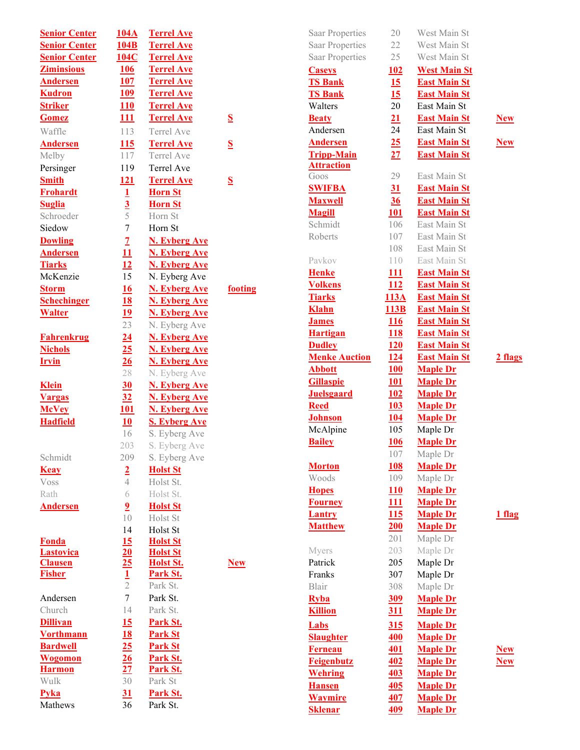| <b>Senior Center</b> | 104A                             | <b>Terrel Ave</b>                            |                          |
|----------------------|----------------------------------|----------------------------------------------|--------------------------|
| <b>Senior Center</b> | 104B                             | <b>Terrel Ave</b>                            |                          |
| <b>Senior Center</b> | 104C                             | <b>Terrel Ave</b>                            |                          |
| <b>Ziminsious</b>    | <b>106</b>                       | <b>Terrel Ave</b>                            |                          |
| <b>Andersen</b>      | 107                              | <b>Terrel Ave</b>                            |                          |
| <b>Kudron</b>        | <u>109</u>                       | <b>Terrel Ave</b>                            |                          |
| <b>Striker</b>       | <b>110</b>                       | <b>Terrel Ave</b>                            |                          |
| <b>Gomez</b>         | 111                              | <b>Terrel Ave</b>                            | $\mathbf S$              |
| Waffle               | 113                              | Terrel Ave                                   |                          |
| <b>Andersen</b>      | <u>115</u>                       | <b>Terrel Ave</b>                            | <u>s</u>                 |
| Melby                | 117                              | Terrel Ave                                   |                          |
| Persinger            | 119                              | Terrel Ave                                   |                          |
| <b>Smith</b>         | <u>121</u>                       | <b>Terrel Ave</b>                            | $\bf\underline{S}$       |
| <b>Frohardt</b>      | $\mathbf 1$                      | <b>Horn St</b>                               |                          |
| <b>Suglia</b>        |                                  | <b>Horn St</b>                               |                          |
| Schroeder            | $\frac{3}{5}$                    | Horn St                                      |                          |
| Siedow               | $\overline{7}$                   | Horn St                                      |                          |
| <b>Dowling</b>       | $\overline{1}$                   | <b>N. Eyberg Ave</b>                         |                          |
| <b>Andersen</b>      | 11                               | <b>N. Eyberg Ave</b>                         |                          |
| <b>Tiarks</b>        | 12                               | <b>N. Eyberg Ave</b>                         |                          |
| McKenzie             | 15                               | N. Eyberg Ave                                |                          |
| <b>Storm</b>         | 16                               | <b>N. Eyberg Ave</b>                         | $\underline{\mathbf{f}}$ |
| <b>Schechinger</b>   | 18                               |                                              |                          |
| <b>Walter</b>        | <u>19</u>                        | <b>N. Eyberg Ave</b><br><b>N. Eyberg Ave</b> |                          |
|                      | 23                               | N. Eyberg Ave                                |                          |
| <b>Fahrenkrug</b>    | 24                               | <b>N. Eyberg Ave</b>                         |                          |
| <b>Nichols</b>       | 25                               | <b>N. Eyberg Ave</b>                         |                          |
| <b>Irvin</b>         | 26                               | <b>N. Eyberg Ave</b>                         |                          |
|                      | 28                               | N. Eyberg Ave                                |                          |
| <b>Klein</b>         | 30                               | <b>N. Eyberg Ave</b>                         |                          |
| <b>Vargas</b>        | 32                               | <b>N. Eyberg Ave</b>                         |                          |
| <b>McVey</b>         | <b>101</b>                       | <b>N. Eyberg Ave</b>                         |                          |
| <b>Hadfield</b>      | 10                               | <b>S. Eyberg Ave</b>                         |                          |
|                      | 16                               | S. Eyberg Ave                                |                          |
|                      | 203                              | S. Eyberg Ave                                |                          |
| Schmidt              | 209                              | S. Eyberg Ave                                |                          |
| <b>Keay</b>          | $\overline{2}$                   | <b>Holst St</b>                              |                          |
| Voss                 | $\overline{4}$                   | Holst St.                                    |                          |
| Rath                 | 6                                | Holst St.                                    |                          |
| <b>Andersen</b>      | $\overline{2}$                   | <b>Holst St</b>                              |                          |
|                      | 10                               | Holst St                                     |                          |
|                      | 14                               | Holst St                                     |                          |
| <b>Fonda</b>         | $\overline{15}$                  | <b>Holst St</b>                              |                          |
| <b>Lastovica</b>     |                                  | <b>Holst St</b>                              |                          |
| <b>Clausen</b>       | $\frac{20}{25}$<br>$\frac{1}{2}$ | Holst St.                                    | <u>N</u>                 |
| <b>Fisher</b>        |                                  | Park St.                                     |                          |
|                      |                                  | Park St.                                     |                          |
| Andersen             | $\overline{7}$                   | Park St.                                     |                          |
| Church               | 14                               | Park St.                                     |                          |
| <b>Dillivan</b>      | 15                               | Park St.                                     |                          |
| <b>Vorthmann</b>     | 18                               | <b>Park St</b>                               |                          |
| <b>Bardwell</b>      | 25                               | <b>Park St</b>                               |                          |
| <b>Wogomon</b>       | 26                               | Park St.                                     |                          |
| <b>Harmon</b>        | 27                               | Park St.                                     |                          |
| Wulk                 | 30                               | Park St                                      |                          |
| <b>Pyka</b>          | 31                               | Park St.                                     |                          |
| Mathews              | 36                               | Park St.                                     |                          |

footing

New

| <b>Saar Properties</b>          | 20              | West Main St                       |               |
|---------------------------------|-----------------|------------------------------------|---------------|
| <b>Saar Properties</b>          | 22              | West Main St                       |               |
| <b>Saar Properties</b>          | 25              | West Main St                       |               |
| <b>Caseys</b>                   | <u> 102</u>     | <b>West Main St</b>                |               |
| <b>TS Bank</b>                  | 15              | <b>East Main St</b>                |               |
| <b>TS Bank</b>                  | 15              | <b>East Main St</b>                |               |
| Walters                         | 20              | East Main St                       |               |
| <b>Beaty</b>                    | 21              | <b>East Main St</b>                | <b>New</b>    |
| Andersen                        | 24              | East Main St                       |               |
| <b>Andersen</b>                 | 25              | <b>East Main St</b>                | <u>New</u>    |
| <b>Tripp-Main</b>               | $\overline{27}$ | <b>East Main St</b>                |               |
| <b>Attraction</b>               |                 |                                    |               |
| Goos                            | 29              | East Main St                       |               |
| <b>SWIFBA</b>                   | 31              | <b>East Main St</b>                |               |
| <b>Maxwell</b>                  | 36              | <b>East Main St</b>                |               |
| <b>Magill</b>                   | <b>101</b>      | <b>East Main St</b>                |               |
| Schmidt                         | 106             | East Main St                       |               |
| Roberts                         | 107             | East Main St                       |               |
|                                 | 108             | East Main St                       |               |
| Pavkov                          | 110             | East Main St                       |               |
| <b>Henke</b>                    | <u> 111</u>     | <b>East Main St</b>                |               |
| <b>Volkens</b>                  | 112             | <b>East Main St</b>                |               |
| <b>Tiarks</b>                   | 113A            | <b>East Main St</b>                |               |
| <b>Klahn</b>                    | 113B            | <b>East Main St</b>                |               |
| <b>James</b>                    | <u> 116</u>     | <b>East Main St</b>                |               |
| <b>Hartigan</b>                 | <u>118</u>      | <b>East Main St</b>                |               |
| <b>Dudley</b>                   | 120             | <b>East Main St</b>                |               |
| <b>Menke Auction</b>            | <u>124</u>      | <b>East Main St</b>                | <u>2 flag</u> |
| <b>Abbott</b>                   | 100             | <b>Maple Dr</b>                    |               |
| <b>Gillaspie</b>                | 101             | <b>Maple Dr</b>                    |               |
| <b>Juelsgaard</b>               | 102             | <b>Maple Dr</b>                    |               |
| <b>Reed</b>                     | 103             | <b>Maple Dr</b>                    |               |
| <b>Johnson</b>                  | <u>104</u>      | <b>Maple Dr</b>                    |               |
| McAlpine                        | 105             | Maple Dr                           |               |
| <b>Bailey</b>                   | <u>106</u>      | <b>Maple Dr</b>                    |               |
|                                 | 107             | Maple Dr                           |               |
|                                 | <b>108</b>      | <b>Maple Dr</b>                    |               |
| <b>Morton</b><br>Woods          | 109             | Maple Dr                           |               |
|                                 |                 |                                    |               |
| <b>Hopes</b>                    | 110             | <b>Maple Dr</b>                    |               |
| <b>Fourney</b>                  | 111<br>115      | <b>Maple Dr</b><br><b>Maple Dr</b> |               |
| <b>Lantry</b><br><b>Matthew</b> | 200             | <b>Maple Dr</b>                    | <u>1 flag</u> |
|                                 | 201             | Maple Dr                           |               |
| Myers                           | 203             | Maple Dr                           |               |
| Patrick                         | 205             | Maple Dr                           |               |
| Franks                          | 307             | Maple Dr                           |               |
| Blair                           | 308             | Maple Dr                           |               |
|                                 |                 |                                    |               |
| <b>Ryba</b>                     | <u>309</u>      | <b>Maple Dr</b>                    |               |
| <b>Killion</b>                  | <u>311</u>      | <b>Maple Dr</b>                    |               |
| Labs                            | 315             | <b>Maple Dr</b>                    |               |
| <b>Slaughter</b>                | 400             | <b>Maple Dr</b>                    |               |
| <b>Ferneau</b>                  | 401             | <b>Maple Dr</b>                    | <u>New</u>    |
| Feigenbutz                      | 402             | <b>Maple Dr</b>                    | <b>New</b>    |
| <b>Wehring</b>                  | 403             | <b>Maple Dr</b>                    |               |
| <b>Hansen</b>                   | 405             | <b>Maple Dr</b>                    |               |
| <b>Waymire</b>                  | 407             | <b>Maple Dr</b>                    |               |
| <b>Sklenar</b>                  | 409             | <b>Maple Dr</b>                    |               |

 $\frac{\text{in } \mathbf{S} \mathbf{t}}{n}$  $\frac{\mathbf{in} \ \mathbf{St}}{}$ in St in St  $\overline{\text{in St}}$ <u>in St</u> in St in St  $\frac{\text{in } St }{2 \text{ flags}}$